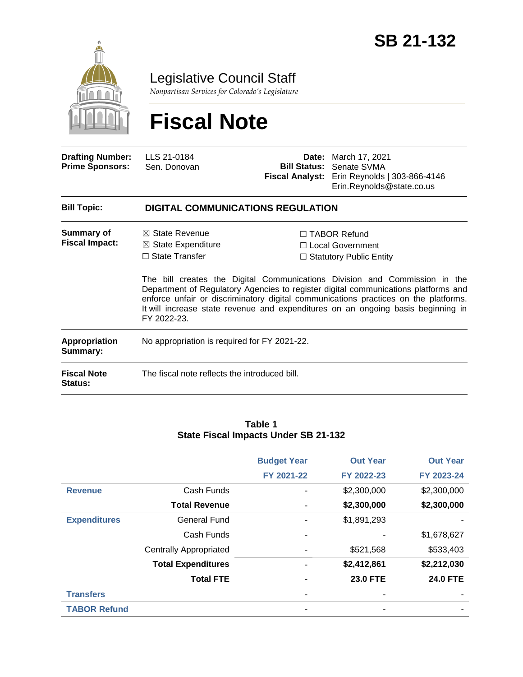

Legislative Council Staff

*Nonpartisan Services for Colorado's Legislature*

# **Fiscal Note**

| <b>Drafting Number:</b><br><b>Prime Sponsors:</b> | LLS 21-0184<br>Sen. Donovan                                                                        | <b>Fiscal Analyst:</b> | <b>Date:</b> March 17, 2021<br><b>Bill Status: Senate SVMA</b><br>Erin Reynolds   303-866-4146<br>Erin.Reynolds@state.co.us                                                                                                                                                                                                                                                                                                     |  |  |  |
|---------------------------------------------------|----------------------------------------------------------------------------------------------------|------------------------|---------------------------------------------------------------------------------------------------------------------------------------------------------------------------------------------------------------------------------------------------------------------------------------------------------------------------------------------------------------------------------------------------------------------------------|--|--|--|
| <b>Bill Topic:</b>                                | <b>DIGITAL COMMUNICATIONS REGULATION</b>                                                           |                        |                                                                                                                                                                                                                                                                                                                                                                                                                                 |  |  |  |
| Summary of<br><b>Fiscal Impact:</b>               | $\boxtimes$ State Revenue<br>$\boxtimes$ State Expenditure<br>$\Box$ State Transfer<br>FY 2022-23. |                        | $\Box$ TABOR Refund<br>$\Box$ Local Government<br>$\Box$ Statutory Public Entity<br>The bill creates the Digital Communications Division and Commission in the<br>Department of Regulatory Agencies to register digital communications platforms and<br>enforce unfair or discriminatory digital communications practices on the platforms.<br>It will increase state revenue and expenditures on an ongoing basis beginning in |  |  |  |
| <b>Appropriation</b><br>Summary:                  | No appropriation is required for FY 2021-22.                                                       |                        |                                                                                                                                                                                                                                                                                                                                                                                                                                 |  |  |  |
| <b>Fiscal Note</b><br>Status:                     | The fiscal note reflects the introduced bill.                                                      |                        |                                                                                                                                                                                                                                                                                                                                                                                                                                 |  |  |  |

#### **Table 1 State Fiscal Impacts Under SB 21-132**

|                     |                               | <b>Budget Year</b> | <b>Out Year</b> | <b>Out Year</b> |
|---------------------|-------------------------------|--------------------|-----------------|-----------------|
|                     |                               | FY 2021-22         | FY 2022-23      | FY 2023-24      |
| <b>Revenue</b>      | Cash Funds                    |                    | \$2,300,000     | \$2,300,000     |
|                     | <b>Total Revenue</b>          | -                  | \$2,300,000     | \$2,300,000     |
| <b>Expenditures</b> | <b>General Fund</b>           |                    | \$1,891,293     |                 |
|                     | Cash Funds                    |                    |                 | \$1,678,627     |
|                     | <b>Centrally Appropriated</b> |                    | \$521,568       | \$533,403       |
|                     | <b>Total Expenditures</b>     |                    | \$2,412,861     | \$2,212,030     |
|                     | <b>Total FTE</b>              |                    | <b>23.0 FTE</b> | <b>24.0 FTE</b> |
| <b>Transfers</b>    |                               | ۰                  | ۰               |                 |
| <b>TABOR Refund</b> |                               |                    |                 |                 |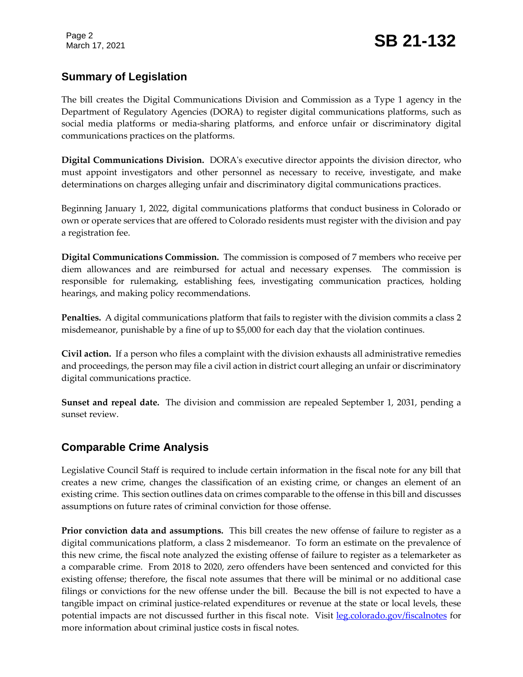# **Summary of Legislation**

The bill creates the Digital Communications Division and Commission as a Type 1 agency in the Department of Regulatory Agencies (DORA) to register digital communications platforms, such as social media platforms or media-sharing platforms, and enforce unfair or discriminatory digital communications practices on the platforms.

**Digital Communications Division.** DORA's executive director appoints the division director, who must appoint investigators and other personnel as necessary to receive, investigate, and make determinations on charges alleging unfair and discriminatory digital communications practices.

Beginning January 1, 2022, digital communications platforms that conduct business in Colorado or own or operate services that are offered to Colorado residents must register with the division and pay a registration fee.

**Digital Communications Commission.** The commission is composed of 7 members who receive per diem allowances and are reimbursed for actual and necessary expenses. The commission is responsible for rulemaking, establishing fees, investigating communication practices, holding hearings, and making policy recommendations.

**Penalties.** A digital communications platform that fails to register with the division commits a class 2 misdemeanor, punishable by a fine of up to \$5,000 for each day that the violation continues.

**Civil action.** If a person who files a complaint with the division exhausts all administrative remedies and proceedings, the person may file a civil action in district court alleging an unfair or discriminatory digital communications practice.

**Sunset and repeal date.** The division and commission are repealed September 1, 2031, pending a sunset review.

## **Comparable Crime Analysis**

Legislative Council Staff is required to include certain information in the fiscal note for any bill that creates a new crime, changes the classification of an existing crime, or changes an element of an existing crime. This section outlines data on crimes comparable to the offense in this bill and discusses assumptions on future rates of criminal conviction for those offense.

**Prior conviction data and assumptions.** This bill creates the new offense of failure to register as a digital communications platform, a class 2 misdemeanor. To form an estimate on the prevalence of this new crime, the fiscal note analyzed the existing offense of failure to register as a telemarketer as a comparable crime. From 2018 to 2020, zero offenders have been sentenced and convicted for this existing offense; therefore, the fiscal note assumes that there will be minimal or no additional case filings or convictions for the new offense under the bill. Because the bill is not expected to have a tangible impact on criminal justice-related expenditures or revenue at the state or local levels, these potential impacts are not discussed further in this fiscal note. Visit [leg.colorado.gov/fiscalnotes](http://leg.colorado.gov/fiscalnotes/) for more information about criminal justice costs in fiscal notes.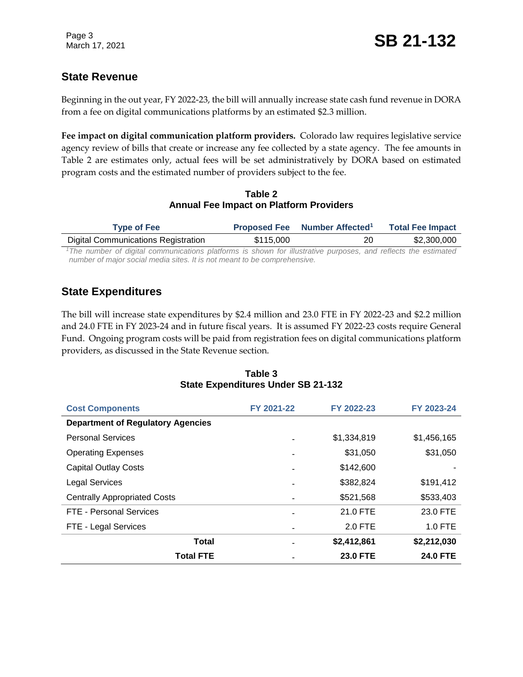## **State Revenue**

Beginning in the out year, FY 2022-23, the bill will annually increase state cash fund revenue in DORA from a fee on digital communications platforms by an estimated \$2.3 million.

**Fee impact on digital communication platform providers.** Colorado law requires legislative service agency review of bills that create or increase any fee collected by a state agency. The fee amounts in Table 2 are estimates only, actual fees will be set administratively by DORA based on estimated program costs and the estimated number of providers subject to the fee.

#### **Table 2 Annual Fee Impact on Platform Providers**

| <b>Type of Fee</b>                                                                                                         |           | Proposed Fee Number Affected <sup>1</sup> |    | <b>Total Fee Impact</b> |
|----------------------------------------------------------------------------------------------------------------------------|-----------|-------------------------------------------|----|-------------------------|
| <b>Digital Communications Registration</b>                                                                                 | \$115,000 |                                           | 20 | \$2,300,000             |
| <sup>1</sup> The number of digital communications platforms is shown for illustrative purposes, and reflects the estimated |           |                                           |    |                         |
| number of major social media sites. It is not meant to be comprehensive.                                                   |           |                                           |    |                         |

## **State Expenditures**

The bill will increase state expenditures by \$2.4 million and 23.0 FTE in FY 2022-23 and \$2.2 million and 24.0 FTE in FY 2023-24 and in future fiscal years. It is assumed FY 2022-23 costs require General Fund. Ongoing program costs will be paid from registration fees on digital communications platform providers, as discussed in the State Revenue section.

| <b>Cost Components</b>                   | FY 2021-22 | FY 2022-23      | FY 2023-24      |
|------------------------------------------|------------|-----------------|-----------------|
| <b>Department of Regulatory Agencies</b> |            |                 |                 |
| <b>Personal Services</b>                 |            | \$1,334,819     | \$1,456,165     |
| <b>Operating Expenses</b>                |            | \$31,050        | \$31,050        |
| <b>Capital Outlay Costs</b>              |            | \$142,600       |                 |
| <b>Legal Services</b>                    |            | \$382,824       | \$191,412       |
| <b>Centrally Appropriated Costs</b>      |            | \$521,568       | \$533,403       |
| FTE - Personal Services                  |            | 21.0 FTE        | 23.0 FTE        |
| FTE - Legal Services                     |            | 2.0 FTE         | $1.0$ FTE       |
| <b>Total</b>                             |            | \$2,412,861     | \$2,212,030     |
| <b>Total FTE</b>                         |            | <b>23.0 FTE</b> | <b>24.0 FTE</b> |

#### **Table 3 State Expenditures Under SB 21-132**